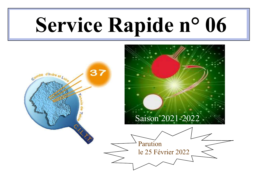# Service Rapide n° 06

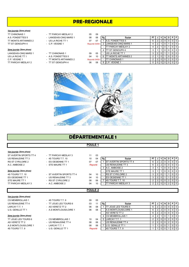## PRE-REGIONALE

#### 1ère journée (2ème phase)

#### 2ème journée (2ème phase)

| TT CHINONAIS 1                   | - TT PARCAY-MESLAY 2   | 05<br>09      |     |                              |    |     |     |  |                |
|----------------------------------|------------------------|---------------|-----|------------------------------|----|-----|-----|--|----------------|
| A.S. FONDETTES 5                 | - LANGEAIS-CINQ MARS 1 | 08<br>06      | Rg, | Equipe                       | РT |     | IV. |  | PFI            |
| TT MONTS ARTANNES 2              | - US LA RICHE TT 1     | 07<br>07      |     | IA.S. FONDETTES 5            | 6  |     |     |  | 0 1 0 1        |
| TT ST GENOUPH 4                  | - C.P. VEIGNE 1        | Reporté 03/04 |     | <b>ILANGEAIS-CINQ MARS 1</b> |    |     |     |  | $\overline{0}$ |
|                                  |                        |               |     | <b>TT PARCAY-MESLAY 2</b>    |    |     |     |  | 0101           |
| 2ème journée <i>(2ème phase)</i> |                        |               |     | <b>ITT ST GENOUPH 4</b>      |    |     |     |  | 0101           |
| LANGEAIS-CINQ MARS 1             | - TT CHINONAIS 1       | 09<br>05      |     | <b>IUS LA RICHE TT 1</b>     |    |     |     |  | 0 <sub>0</sub> |
| US LA RICHE TT 1                 | - A.S. FONDETTES 5     | 04<br>10      |     | TT MONTS ARTANNES 2          |    |     |     |  | 0 1 0 1        |
| C.P. VEIGNE 1                    | - TT MONTS ARTANNES 2  | Reporté 04/03 |     | <b>TT CHINONAIS 1</b>        |    |     | 210 |  | 0 1 0 1        |
| TT PARCAY-MESLAY 2               | - TT ST GENOUPH 4      | 08<br>06      | 8   | IC.P. VEIGNE 1               |    | 010 |     |  | 0101           |
|                                  |                        |               |     |                              |    |     |     |  |                |



# DÉPARTEMENTALE 1

## POULE 1

| 1ère journée (2ème phase) |                          |                |    |                               |                |                |                |              |                |                |             |
|---------------------------|--------------------------|----------------|----|-------------------------------|----------------|----------------|----------------|--------------|----------------|----------------|-------------|
| ST AVERTIN SPORTS TT 4    | - TT PARCAY-MESLAY 3     | 11             | 03 |                               |                |                |                |              |                |                |             |
| US RENAUDINE TT 3         | $-4S$ TOURS T.T. 10      | 10             | 04 | Rg<br>Equipe                  | <b>PT</b>      |                | V              | N            | D              | PIF            |             |
| <b>RS ST CYR/LOIRE 2</b>  | - ES OESIENNE TT 1       | 07             | 07 | <b>ST AVERTIN SPORTS TT 4</b> | 6              | $\overline{2}$ | $\overline{2}$ | $\mathbf 0$  | 0              | 0 <sup>1</sup> |             |
| A.C. AMBOISE 2            | - STE MAURE TT 1         | Reporté        |    | US RENAUDINE TT 3             | 6              | $\overline{2}$ | 2 <sup>1</sup> | 0            | 0              | $0$   0        |             |
|                           |                          |                |    | 3 A.C. AMBOISE 2              | 3              |                | $\mathbf{1}$   | $\mathbf 0$  | $\mathbf 0$    | 0 <sup>1</sup> |             |
| 2ème journée (2ème phase) |                          |                |    | <b>I</b> STE MAURE TT 1       | 3              |                |                | 0            | 0              | $0$   0        |             |
| 4S TOURS T.T. 10          | - ST AVERTIN SPORTS TT 4 | 04             | 10 | <b>IRS ST CYR/LOIRE 2</b>     | 3              | $\overline{2}$ | $\mathbf 0$    | $\mathbf{1}$ |                | $0$   0        |             |
| ES OESIENNE TT 1          | - US RENAUDINE TT 3      | 04             | 10 | <b>IES OESIENNE TT 1</b>      | 3              | $\overline{2}$ | 0              | 1            |                | 0 <sup>1</sup> |             |
| STE MAURE TT 1            | - RS ST CYR/LOIRE 2      | 08             | 06 | 4S TOURS T.T. 10              | $\overline{2}$ | $\overline{2}$ | 0              | $\mathbf 0$  | $\overline{2}$ | $0$   0        |             |
| TT PARCAY-MESLAY 3        | - A.C. AMBOISE 2         | 04             | 10 | <b>ITT PARCAY-MESLAY 3</b>    | 2              | $\overline{2}$ | $\overline{0}$ | $\mathbf 0$  | $\overline{2}$ | 0 <sup>1</sup> |             |
|                           |                          |                |    |                               |                |                |                |              |                |                |             |
|                           |                          | <b>POULE 2</b> |    |                               |                |                |                |              |                |                |             |
|                           |                          |                |    |                               |                |                |                |              |                |                |             |
| 1ère journée (2ème phase) |                          |                |    |                               |                |                |                |              |                |                |             |
| <b>CS MEMBROLLAIS 1</b>   | - 4S TOURS T.T. 9        | 09             | 05 |                               |                |                |                |              |                |                |             |
| US RENAUDINE TT 4         | - TT JOUE LES TOURS 6    | 03             | 11 | Rg<br>Equipe                  | PT             | J              | $\mathsf{v}$   | N            | D              | PIF            |             |
| LARCAY T.T. 1             | - AS VERETZ TT 2         | 06             | 08 | <b>ITT JOUE LES TOURS 6</b>   | 6              | $\overline{2}$ | 2 <sup>1</sup> | $\mathbf 0$  | 0              | 0 <sup>1</sup> |             |
| U.S. GENILLE TT 1         | - A.S MONTLOUIS/LOIRE 1  | 06             | 08 | <b>JA.S MONTLOUIS/LOIRE 1</b> | 6              | 2              | $\overline{2}$ | 0            | 0              | 0 <sup>1</sup> |             |
|                           |                          |                |    | <b>JAS VERETZ TT 2</b>        | 6              | $\overline{2}$ | 2 <sup>1</sup> | $\mathbf 0$  | 0              | $\overline{0}$ | 0           |
| 2ème journée (2ème phase) |                          |                |    | <b>ICS MEMBROLLAIS 1</b>      | 4              | $\overline{2}$ |                | 0            |                | 0 <sup>1</sup> | $\mathbf 0$ |
| TT JOUE LES TOURS 6       | - CS MEMBROLLAIS 1       | 10             | 04 | 5 LARCAY T.T. 1               | $\overline{2}$ | $\overline{2}$ | 0              | $\mathbf 0$  | $\overline{2}$ | $0$   0        |             |
| AS VERETZ TT 2            |                          |                |    |                               |                |                |                |              |                |                |             |
|                           | - US RENAUDINE TT 4      | 08             | 06 | US RENAUDINE TT 4             | 2              | $\overline{2}$ | 0              | $\mathbf 0$  | $\overline{2}$ | 0 <sup>1</sup> |             |
| A.S MONTLOUIS/LOIRE 1     | - LARCAY T.T. 1          | 08             | 06 | <b>U.S. GENILLE TT 1</b>      |                | 1              | $\overline{0}$ | $\mathbf 0$  |                | 0 <sup>1</sup> |             |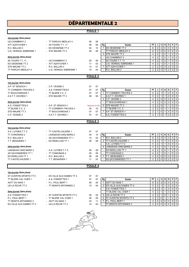|                                    |                                                   |                    |               | <b>DÉPARTEMENTALE 2</b>                                            |                                                                                                                                                                                      |
|------------------------------------|---------------------------------------------------|--------------------|---------------|--------------------------------------------------------------------|--------------------------------------------------------------------------------------------------------------------------------------------------------------------------------------|
|                                    |                                                   | POULE <sub>1</sub> |               |                                                                    |                                                                                                                                                                                      |
| 1ère journée (2ème phase)          |                                                   |                    |               |                                                                    |                                                                                                                                                                                      |
| <b>US CHAMBRAY 2</b>               | - TT PARCAY-MESLAY 4                              | 06                 | 08            |                                                                    |                                                                                                                                                                                      |
| ATT AZAY/CHER 1                    | 4S TOURS T.T. 11                                  | 06                 | 08            | Rg<br>Equipe                                                       | D<br><b>PT</b><br>J<br>V<br>N<br>P<br>F                                                                                                                                              |
| R.C. BALLAN 3                      | ES OESIENNE TT 2                                  | 04                 | 10            | <b>ES OESIENNE TT 2</b><br>$\mathbf{1}$                            | 2<br>$\overline{2}$<br>0<br>$\mathbf 0$<br>$\mathbf{0}$<br>$\mathbf 0$<br>6                                                                                                          |
| U.S. VERNOU S/BRENNE 1             | - STE MAURE TT 2                                  | 08                 | 06            | <b>TT PARCAY-MESLAY 4</b>                                          | $\overline{\mathbf{c}}$<br>$\sqrt{2}$<br>$\mathbf 0$<br>$\pmb{0}$<br>6<br>$\mathbf 0$<br>$\mathbf 0$                                                                                 |
|                                    |                                                   |                    |               | STE MAURE TT 2<br>3                                                | $\overline{2}$<br>$\mathbf 0$<br>$\overline{4}$<br>$\mathbf{1}$<br>$\mathbf{1}$<br>0<br>$\mathbf 0$                                                                                  |
| 2ème journée (2ème phase)          |                                                   |                    |               | US CHAMBRAY 2                                                      | $\overline{2}$<br>$\mathbf 0$<br>$\mathbf 0$<br>$\mathbf 0$<br>$\overline{4}$<br>$\mathbf{1}$<br>$\mathbf{1}$                                                                        |
| 4S TOURS T.T. 11                   | - US CHAMBRAY 2                                   | 05                 | 09            | 4S TOURS T.T. 11                                                   | $\overline{\mathbf{c}}$<br>$\mathbf 0$<br>4<br>1<br>$\mathbf{1}$<br>$\mathbf{0}$<br>$\mathbf 0$                                                                                      |
| ES OESIENNE TT 2<br>STE MAURE TT 2 | - ATT AZAY/CHER 1<br>- R.C. BALLAN 3              | 11<br>13           | 03<br>01      | U.S. VERNOU S/BRENNE 1<br><b>ATT AZAY/CHER 1</b><br>$\overline{7}$ | $\overline{2}$<br>$\mathbf 0$<br>0<br>$\overline{4}$<br>$\mathbf{1}$<br>$\mathbf{1}$<br>$\mathbf 0$<br>$\overline{2}$<br>$\overline{2}$<br>2<br>0<br>0<br>$\mathbf 0$<br>$\mathbf 0$ |
| TT PARCAY-MESLAY 4                 | - U.S. VERNOU S/BRENNE 1                          | 10                 | 04            | R.C. BALLAN 3<br>$\overline{\phantom{a}}$                          | $\pmb{0}$<br>$\mathbf 0$<br>$\pmb{0}$<br>$\overline{2}$<br>$\overline{c}$<br>$\overline{2}$<br>$\mathbf 0$                                                                           |
|                                    |                                                   |                    |               |                                                                    |                                                                                                                                                                                      |
|                                    |                                                   | <b>POULE 2</b>     |               |                                                                    |                                                                                                                                                                                      |
| 1ère journée (2ème phase)          |                                                   |                    |               |                                                                    |                                                                                                                                                                                      |
| A.P. ST SENOCH 1                   | - C.P. VEIGNE 2                                   | 07                 | 07            |                                                                    |                                                                                                                                                                                      |
| <b>TT CORMERY-TRUYES 4</b>         | - A.S. FONDETTES 6                                | 07                 | 07            | Rg<br>Equipe                                                       | P<br>PT<br>V<br>N<br>D<br>F<br>J                                                                                                                                                     |
| <b>TT BOUCHARDAIS 1</b>            | - TT BLERE V.C. 2                                 | 07                 | 07            | <b>ITT CORMERY-TRUYES 4</b><br>$\mathbf{1}$                        | 5<br>$\overline{\mathbf{c}}$<br>$\pmb{0}$<br>1<br>$\mathbf 0$<br>$\mathbf 0$                                                                                                         |
| A.S.T.T. ESVRES 1                  | - STE MAURE TT 3                                  | 08                 | 06            | A.S.T.T. ESVRES 1<br>$\sim$                                        | $\overline{\mathbf{c}}$<br>5<br>$\mathbf 0$<br>0<br>$\mathbf 0$<br>$\mathbf{1}$<br>1                                                                                                 |
|                                    |                                                   |                    |               | C.P. VEIGNE 2<br>3                                                 | $\overline{2}$<br>$\pmb{0}$<br>$\overline{\mathbf{c}}$<br>$\mathbf 0$<br>$\mathbf 0$<br>4<br>$\mathbf 0$                                                                             |
| 2ème journée (2ème phase)          |                                                   |                    |               | <b>TT BOUCHARDAIS 1</b>                                            | $\mathbf 2$<br>$\pmb{0}$<br>$\overline{2}$<br>$\pmb{0}$<br>$\mathbf{0}$<br>$\mathbf 0$<br>4                                                                                          |
| A.S. FONDETTES 6                   | - A.P. ST SENOCH 1                                |                    | Reporté 01/04 | <b>STE MAURE TT 3</b><br>5                                         | $\overline{2}$<br>$\pmb{0}$<br>3<br>$\mathbf{1}$<br>0<br>$\mathbf 0$<br>1                                                                                                            |
| TT BLERE V.C. 2                    | - TT CORMERY-TRUYES 4                             | 04                 | 10            | ITT BLERE V.C. 2                                                   | 3<br>$\overline{c}$<br>$\pmb{0}$<br>$\mathbf 0$<br>$\mathbf{1}$<br>$\mathbf 0$<br>1                                                                                                  |
| STE MAURE TT 3                     | - TT BOUCHARDAIS 1                                | 07                 | 07            | A.P. ST SENOCH 1<br>$\overline{7}$                                 | $\overline{2}$<br>0<br>1<br>0<br>0<br>0<br>1                                                                                                                                         |
| C.P. VEIGNE 2                      | - A.S.T.T. ESVRES 1                               | 07                 | 07            | A.S. FONDETTES 6                                                   | $\overline{2}$<br>$\pmb{0}$<br>$\mathbf 0$<br>$\mathbf 0$<br>$\Omega$<br>1                                                                                                           |
|                                    |                                                   | <b>POULE 3</b>     |               |                                                                    |                                                                                                                                                                                      |
| 1ère journée (2ème phase)          |                                                   |                    |               |                                                                    |                                                                                                                                                                                      |
| A.S. LUYNES T.T 2                  | - TT CASTELVALERIE 1                              | 07                 | 07            |                                                                    |                                                                                                                                                                                      |
| <b>TT CHINONAIS 2</b>              | - LANGEAIS-CINQ MARS 2                            | 04                 | 10            | Rg<br>Equipe                                                       | PT<br>N<br>D<br>P<br>F<br>J<br>۷                                                                                                                                                     |
| R.C. BALLAN 2                      | - AS SAVONNIERES TT 1                             | 10                 | 04            | R.C. BALLAN 2<br>1                                                 | $\overline{2}$<br>$\overline{2}$<br>$\mathbf 0$<br>$\mathbf 0$<br>0<br>$\mathbf 0$<br>6                                                                                              |
| T.T. BENAISIEN 1                   | - ES RIDELLOIS TT 1                               | 06                 | 08            | <b>ITT CASTELVALERIE 1</b><br>2                                    | $\overline{2}$<br>$\pmb{0}$<br>$\mathbf 0$<br>5<br>$\mathbf 0$<br>$\mathbf{1}$<br>1                                                                                                  |
|                                    |                                                   |                    |               | A.S. LUYNES T.T 2<br>$\blacksquare$                                | 5<br>$\overline{c}$<br>$\pmb{0}$<br>$\mathbf 0$<br>$\mathbf{1}$<br>$\mathbf{1}$<br>$\mathbf 0$                                                                                       |
| 2ème journée (2ème phase)          |                                                   |                    |               | LANGEAIS-CINQ MARS 2<br>4                                          | 2<br>4<br>0<br>1<br>$\mathbf 0$<br>0<br>1                                                                                                                                            |
| LANGEAIS-CINQ MARS 2               | - A.S. LUYNES T.T 2                               | 06                 | 08            | <b>ES RIDELLOIS TT 1</b>                                           | $\overline{\mathbf{c}}$<br>$\mathbf 0$<br>$\mathbf 0$<br>$\mathbf 0$<br>4<br>$\mathbf{1}$<br>$\mathbf 1$                                                                             |
| AS SAVONNIERES TT 1                | - TT CHINONAIS 2                                  | 05                 | 09            | <b>ITT CHINONAIS 2</b><br>$\overline{\phantom{a}}$                 | $\overline{2}$<br>$\overline{4}$<br>$\mathbf{1}$<br>0<br>$\mathbf{1}$<br>$\mathbf 0$<br>$\mathbf 0$                                                                                  |
| ES RIDELLOIS TT 1                  | - R.C. BALLAN 2                                   | 06                 | 08            | <b>IT.T. BENAISIEN 1</b><br>$\overline{7}$                         | $\overline{2}$<br>$\pmb{0}$<br>$\overline{2}$<br>$\mathsf 0$<br>2<br>0<br>$\mathbf 0$                                                                                                |
| <b>TT CASTELVALERIE 1</b>          | - T.T. BENAISIEN 1                                | 11                 | 03            | AS SAVONNIERES TT 1<br>$\overline{\phantom{a}}$                    | $\boldsymbol{0}$<br>$\overline{2}$<br>$\mathbf 0$<br>$\mathbf 0$<br>2<br>$\overline{2}$<br>$\mathbf 0$                                                                               |
|                                    |                                                   | <b>POULE 4</b>     |               |                                                                    |                                                                                                                                                                                      |
| 1ère journée (2ème phase)          |                                                   |                    |               |                                                                    |                                                                                                                                                                                      |
|                                    |                                                   | 07                 |               |                                                                    |                                                                                                                                                                                      |
| ST AVERTIN SPORTS TT 5             | - ES VILLE AUX DAMES TT 4<br>- A.S. FONDETTES 7   |                    | 07            |                                                                    |                                                                                                                                                                                      |
| TT BLERE VAL CHER 1                |                                                   | 07                 | 07            | Rg<br>Equipe                                                       | РT<br>N<br>D<br>P<br>F<br>J<br>٧<br>$\overline{2}$<br>0<br>$\mathbf 0$<br>6<br>$\mathbf 0$                                                                                           |
| ASTT DU NAIS 1<br>US LA RICHE TT 2 | - P.L. PAUL BERT 1<br>- TT MONTS ARTANNES 3       | 09                 | 05<br>04      | ASTT DU NAIS 1<br>$\mathbf{1}$                                     | $\overline{\mathbf{c}}$<br>$\mathbf 0$<br>5<br>$\mathbf 0$<br>$\mathbf 0$<br>$\mathbf{1}$                                                                                            |
|                                    |                                                   | 10                 |               | <b>ES VILLE AUX DAMES TT 4</b><br>2<br>A.S. FONDETTES 7            | 2<br>0<br>1<br>5<br>$\mathbf 0$<br>2<br>0<br>$\mathbf 0$<br>$\mathbf{1}$<br>1                                                                                                        |
| 2ème journée (2ème phase)          |                                                   |                    |               |                                                                    | $\overline{\mathbf{c}}$<br>5<br>$\mathbf 0$                                                                                                                                          |
| A.S. FONDETTES 7                   |                                                   |                    |               | <b>TT BLERE VAL CHER 1</b><br>US LA RICHE TT 2                     | 1<br>0<br>$\mathbf 0$<br>1                                                                                                                                                           |
| P.L. PAUL BERT 1                   | - ST AVERTIN SPORTS TT 5<br>- TT BLERE VAL CHER 1 | 09<br>06           | 05<br>08      | 5<br>6 ST AVERTIN SPORTS TT 5                                      | 4<br>2<br>0<br>$\mathbf{1}$<br>0<br>0<br>-1<br>3<br>$\mathbf{2}$<br>$\mathbf{0}$<br>$\mathbf 0$<br>$\Omega$                                                                          |



TT MONTS ARTANNES 3 - ASTT DU NAIS 1 03 11  $\boxed{7}$  P.L. PAUL BERT 1 2 2 0 0 2 0 0 2 ES VILLE AUX DAMES TT 4 - US LA RICHE TT 2 14 00 - TT MONTS ARTANNES 3 2 2 0 0 2 0 0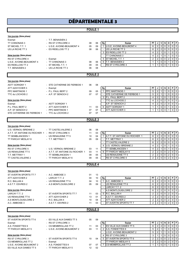# DÉPARTEMENTALE 3

## POULE<sub>1</sub>

| 1ère journée (2ème phase)                         |                                         |                    |          |                               |                                                 |                                                                                                                                                                          |
|---------------------------------------------------|-----------------------------------------|--------------------|----------|-------------------------------|-------------------------------------------------|--------------------------------------------------------------------------------------------------------------------------------------------------------------------------|
| Exempt                                            | - T.T. BENAISIEN 2                      |                    |          |                               |                                                 |                                                                                                                                                                          |
| TT CHINONAIS 3                                    | - RS ST CYR/LOIRE 4                     | 08                 | 06       | Rg                            | Equipe                                          | PT<br>٧<br>P<br> F <br>J<br>N<br>D                                                                                                                                       |
| ST MICHEL T.T. 1                                  | - U.S.E. AVOINE-BEAUMONT 4              | 05                 | 09       |                               | 1   U.S.E. AVOINE-BEAUMONT 4                    | $\overline{2}$<br>$0$ 0<br>$\overline{\mathbf{c}}$<br>$\mathbf 0$<br>$\mathbf 0$<br>6                                                                                    |
| US LA RICHE TT 3                                  | - ES RIDELLOIS TT 2                     | 08                 | 06       | $\blacksquare$                | US LA RICHE TT 3                                | $\overline{0}$<br>6<br>$\overline{a}$<br>$\overline{2}$<br>$\mathbf 0$<br>$\mathbf 0$<br>$\mathbf 0$                                                                     |
|                                                   |                                         |                    |          | 3                             | <b>ES RIDELLOIS TT 2</b>                        | $\overline{\mathbf{c}}$<br>$\mathbf 0$<br>0<br>$\overline{4}$<br>$\mathbf{1}$<br>$\overline{1}$<br>$\mathbf 0$                                                           |
| 2ème journée (2ème phase)                         |                                         |                    |          |                               | <b>TT CHINONAIS 3</b>                           | $\overline{\mathbf{c}}$<br>0 <sup>1</sup><br>$\overline{\mathbf{4}}$<br>$\mathbf{1}$<br>$\mathbf 0$<br>0<br>$\mathbf{1}$                                                 |
| <b>RS ST CYR/LOIRE 4</b>                          | - Exempt                                |                    |          | 5                             | ST MICHEL T.T. 1                                | $\overline{2}$<br>$\mathsf{O}$<br>$\overline{2}$<br>$\overline{0}$<br>$\overline{2}$<br>0<br>$\overline{0}$                                                              |
| U.S.E. AVOINE-BEAUMONT 4<br>ES RIDELLOIS TT 2     | - TT CHINONAIS 3<br>- ST MICHEL T.T. 1  | 08<br>09           | 06<br>05 | 6<br>$\overline{\phantom{a}}$ | <b>T.T. BENAISIEN 2</b><br>RS ST CYR/LOIRE 4    | $\overline{0}$<br>0<br>$\mathbf 0$<br>$\mathbf{1}$<br>0<br>$\mathbf{1}$<br>1<br>$\mathbf 0$<br>0<br>$\overline{0}$<br>$\overline{1}$<br>$\mathbf 0$<br>$\mathbf{1}$<br>1 |
| T.T. BENAISIEN 2                                  | - US LA RICHE TT 3                      | 06                 | 08       |                               |                                                 |                                                                                                                                                                          |
|                                                   |                                         |                    |          |                               |                                                 |                                                                                                                                                                          |
|                                                   |                                         | <b>POULE 2</b>     |          |                               |                                                 |                                                                                                                                                                          |
| 1ère journée (2ème phase)                         |                                         |                    |          |                               |                                                 |                                                                                                                                                                          |
| <b>ASTT SORIGNY 1</b>                             | - STE CATHERINE DE FIERBOIS 1           | 06                 | 08       |                               |                                                 |                                                                                                                                                                          |
| ATT AZAY/CHER 3                                   | - Exempt                                |                    |          | Rg                            | Equipe                                          | PT<br>۷<br>PF<br>J<br>N<br>D                                                                                                                                             |
| PPC MARTINOIS 1                                   | - P.L. PAUL BERT 2                      | 09                 | 05       | $\mathbf{1}$                  | <b>PPC MARTINOIS 1</b>                          | $\mathbf 0$<br>0<br>$\mathbf 0$<br>5<br>$\overline{2}$<br>$\mathbf{1}$                                                                                                   |
| TTC du LOCHOIS 2                                  | - A.P. ST SENOCH 2                      | 07                 | 07       |                               | STE CATHERINE DE FIERBOIS 1                     | 5<br>$\mathsf 0$<br>0 <sup>1</sup><br>$\overline{2}$<br>$\mathbf{1}$<br>$\mathbf{1}$<br>0                                                                                |
|                                                   |                                         |                    |          | 3                             | P.L. PAUL BERT 2                                | 0<br>$\overline{4}$<br>$\overline{c}$<br>$\mathbf{1}$<br>$\mathbf 0$<br>$\mathbf 0$<br>$\mathbf{1}$                                                                      |
| 2ème journée (2ème phase)                         |                                         |                    |          |                               | TTC du LOCHOIS 2                                | $\overline{2}$<br>$\mathbf 0$<br>$\overline{2}$<br>$\mathbf 0$<br>$\overline{0}$<br>$\mathbf 0$<br>$\overline{4}$                                                        |
| Exempt                                            | - ASTT SORIGNY 1                        |                    |          |                               | A.P. ST SENOCH 2                                | $\sqrt{2}$<br>$\overline{2}$<br>$\mathsf 0$<br>$0$   0<br>$\overline{4}$<br>$\mathbf 0$                                                                                  |
| P.L. PAUL BERT 2                                  | ATT AZAY/CHER 3                         | 11                 | 03       | 6                             | <b>ASTT SORIGNY 1</b>                           | 0 <sup>1</sup><br>0<br>$\mathbf 0$<br>$\overline{0}$<br>$\overline{1}$<br>1<br>$\mathbf{1}$                                                                              |
| A.P. ST SENOCH 2                                  | - PPC MARTINOIS 1                       | 07                 | 07       | $\overline{\phantom{a}}$      | ATT AZAY/CHER 3                                 | $\mathbf 0$<br>$\mathbf 0$<br>$\overline{0}$<br>$\overline{0}$<br>$\mathbf{1}$<br>$\mathbf{1}$<br>1                                                                      |
| STE CATHERINE DE FIERBOIS 1                       | - TTC du LOCHOIS 2                      | 07                 | 07       |                               |                                                 |                                                                                                                                                                          |
|                                                   |                                         | POULE <sub>3</sub> |          |                               |                                                 |                                                                                                                                                                          |
|                                                   |                                         |                    |          |                               |                                                 |                                                                                                                                                                          |
| 1ère journée (2ème phase)                         |                                         |                    |          |                               |                                                 |                                                                                                                                                                          |
| U.S. VERNOU / BRENNE 2                            | - TT CASTELVALERIE 2                    | 06                 | 08       |                               |                                                 |                                                                                                                                                                          |
| A.T.T. ST ANTOINE DU ROCHER 1 - RS ST CYR/LOIRE 5 |                                         | 11                 | 03       | Rg                            | Equipe                                          | V<br>$P$ $F$<br>PT<br>N<br>D<br>J<br>$\overline{0}$<br>$\overline{0}$                                                                                                    |
| TT SEMBLANCEEN 1<br>TT PARCAY MESLAY 6            | - US RENAUDINE TT 5<br>- T.T. METTRAY 1 | 10<br>05           | 04<br>09 | $\mathbf{1}$                  | A.T.T. ST ANTOINE DU ROCHER 1<br>T.T. METTRAY 1 | $\overline{0}$<br>6<br>$\overline{2}$<br>$\mathbf{2}$<br>0<br>$\overline{c}$<br>0 <sup>1</sup><br>6<br>$\overline{c}$<br>$\mathbf 0$<br>$\mathbf 0$<br>$\mathbf 0$       |
|                                                   |                                         |                    |          |                               | TT CASTELVALERIE 2                              | $\overline{2}$<br>$\overline{2}$<br>6<br>$\mathbf 0$<br>$\pmb{0}$<br>0 <sup>1</sup><br>$\mathbf 0$                                                                       |
| 2ème journée (2ème phase)                         |                                         |                    |          | 4                             | U.S. VERNOU / BRENNE 2                          | $\overline{\mathbf{c}}$<br>$\mathbf{1}$<br>$\mathbf 0$<br>0 <sup>1</sup><br>4<br>$\mathbf{1}$<br>$\overline{0}$                                                          |
| <b>RS ST CYR/LOIRE 5</b>                          | - U.S. VERNOU /BRENNE 2                 | 03                 | 11       |                               | <b>TT SEMBLANCEEN 1</b>                         | $\overline{c}$<br>$\mathbf{1}$<br>$\mathbf 0$<br>$\overline{0}$<br>$\overline{0}$<br>4<br>$\mathbf{1}$                                                                   |
| US RENAUDINE TT 5                                 | - A.T.T. ST ANTOINE DU ROCHER 1         | 03                 | 11       | 6                             | <b>TT PARCAY MESLAY 6</b>                       | $\overline{2}$<br>$\boldsymbol{2}$<br>0<br>$\pmb{0}$<br>$\overline{2}$<br>$\overline{0}$<br>$\overline{0}$                                                               |
| T.T. METTRAY 1                                    | - TT SEMBLANCEEN 1                      | 09                 | 05       | $\sim$                        | US RENAUDINE TT 5                               | $\overline{\mathbf{c}}$<br>0<br>$\mathbf 0$<br>$\overline{2}$<br>$0$   0<br>$\overline{2}$                                                                               |
| TT CASTELVALERIE 2                                | - TT PARCAY MESLAY 6                    | 09                 | 05       |                               | <b>RS ST CYR/LOIRE 5</b>                        | $\sqrt{2}$<br>2<br>2<br>0<br>0<br>$\overline{0}$<br>$\overline{0}$                                                                                                       |
|                                                   |                                         |                    |          |                               |                                                 |                                                                                                                                                                          |
|                                                   |                                         | <b>POULE 4</b>     |          |                               |                                                 |                                                                                                                                                                          |
| 1ère journée (2ème phase)                         |                                         |                    |          |                               |                                                 |                                                                                                                                                                          |
| ST AVERTIN SPORTS TT 7                            | - A.C. AMBOISE 3                        |                    | 01 13    |                               |                                                 |                                                                                                                                                                          |
| ATT AZAY/CHER 2                                   | - LARCAY T.T. 2                         | 04                 | 10       | Rg                            | Equipe                                          | V<br>PF<br>PT<br>J<br>N<br>D                                                                                                                                             |
| R.C. BALLAN 4                                     | - US RENAUDINE TT 6                     | 04                 | 10       |                               | 1 A.C. AMBOISE 3                                | $\overline{2}$<br>$\overline{0}$<br>6<br>$\overline{2}$<br>$\mathbf 0$<br>$\mathbf 0$<br>$\mathbf 0$                                                                     |
| A.S.T.T. ESVRES 2                                 | - A.S MONTLOUIS/LOIRE 2                 | 05                 | 09       |                               | US RENAUDINE TT 6                               | $\overline{2}$<br>$\overline{2}$<br>$\mathbf 0$<br>6<br>$\mathbf 0$<br>$0$   0                                                                                           |
|                                                   |                                         |                    |          |                               | LARCAY T.T. 2                                   | 6<br>$\overline{2}$<br>$\overline{2}$<br>$\mathbf 0$<br>$\overline{0}$<br>0<br>$\overline{0}$                                                                            |
| 2ème journée (2ème phase)                         |                                         |                    |          |                               | A.S MONTLOUIS/LOIRE 2                           | $\overline{2}$<br>6<br>$\overline{2}$<br>$\mathbf 0$<br>$\mathbf 0$<br>$\mathbf 0$<br>$\overline{0}$                                                                     |
| LARCAY T.T. 2                                     | - ST AVERTIN SPORTS TT 7                | 11                 | 03       |                               | 5 R.C. BALLAN 4                                 | $\overline{2}$<br>$\overline{2}$<br>$\mathbf 0$<br>$\mathbf 0$<br>$\overline{2}$<br>$0$   0                                                                              |
| US RENAUDINE TT 6                                 | - ATT AZAY/CHER 2                       | 13                 | 01       | $\overline{\phantom{a}}$      | A.S.T.T. ESVRES 2                               | $\overline{2}$<br>2<br>$\mathbf 0$<br>$\mathbf 0$<br>$\overline{2}$<br>$\circ$ 1<br>$\overline{0}$                                                                       |
| A.S MONTLOUIS/LOIRE 2                             | - R.C. BALLAN 4                         | 10                 | 04       | $\sim$                        | <b>ATT AZAY/CHER 2</b>                          | $\overline{2}$<br>$\overline{2}$<br>2<br>$\mathbf 0$<br>$\mathbf 0$<br>$0$   0                                                                                           |
| A.C. AMBOISE 3                                    | - A.S.T.T. ESVRES 2                     | 11                 | 03       |                               | <b>ST AVERTIN SPORTS TT 7</b>                   | $\overline{2}$<br>$\overline{c}$<br>0<br>$\mathbf 0$<br>$\overline{2}$<br>$0$   0                                                                                        |
|                                                   |                                         | <b>POULE 5</b>     |          |                               |                                                 |                                                                                                                                                                          |
| 1ère journée (2ème phase)                         |                                         |                    |          |                               |                                                 |                                                                                                                                                                          |
| ST AVERTIN SPORTS TT 6                            | - ES VILLE AUX DAMES TT 5               | 05                 | 09       |                               |                                                 |                                                                                                                                                                          |
| Exempt                                            | - RS ST CYR/LOIRE 3                     |                    |          | Rg                            | Equipe                                          | PT<br>٧<br>$P$   F<br>J<br>N<br>D                                                                                                                                        |
| A.S. FONDETTES 9                                  | - CS MEMBROLLAIS TT 2                   | 11                 | 03       | $\mathbf{1}$                  | <b>ES VILLE AUX DAMES TT 5</b>                  | $\overline{c}$<br>$\overline{2}$<br>0<br>$\mathbf 0$<br>0 <sup>1</sup><br>$\overline{0}$<br>6                                                                            |
| TT PARCAY-MESLAY 5                                | - U.S.E. AVOINE-BEAUMONT 2              | 03                 | 11       |                               | 2 A.S. FONDETTES 9                              | 5<br>$\overline{2}$<br>$0$   0<br>$\mathbf{1}$<br>$\mathbf{1}$<br>0                                                                                                      |
|                                                   |                                         |                    |          |                               | U.S.E. AVOINE-BEAUMONT 2                        | 5<br>0 <sup>1</sup><br>$\overline{0}$<br>2<br>$\mathbf{1}$<br>$\mathbf 0$<br>$\mathbf{1}$                                                                                |
| 2ème journée (2ème phase)                         |                                         |                    |          | 4                             | RS ST CYR/LOIRE 3                               | $0$   0<br>3<br>1<br>$\mathbf{1}$<br>0<br>$\mathbf 0$                                                                                                                    |
| <b>RS ST CYR/LOIRE 3</b>                          | - ST AVERTIN SPORTS TT 6                | 10                 | 04       | 5                             | ST AVERTIN SPORTS TT 6                          | $\overline{\mathbf{c}}$<br>$\overline{a}$<br>$\mathbf 0$<br>$\mathbf 0$<br>$\overline{2}$<br>$0$   0                                                                     |
| CS MEMBROLLAIS TT 2                               | - Exempt                                |                    |          | $\overline{\phantom{a}}$      | <b>TT PARCAY-MESLAY 5</b>                       | $\overline{2}$<br>$0$   0<br>$\overline{2}$<br>2<br>$\mathbf 0$<br>$\mathbf 0$                                                                                           |
| U.S.E. AVOINE-BEAUMONT 2                          | - A.S. FONDETTES 9                      | 07                 | 07       | 7                             | <b>CS MEMBROLLAIS TT 2</b>                      | $\mathbf{1}$<br>1<br>$\mathbf 0$<br>$\mathbf 0$<br>$\mathbf{1}$<br>$0$   0                                                                                               |
| ES VILLE AUX DAMES TT 5                           | - TT PARCAY-MESLAY 5                    | 12                 | 02       |                               |                                                 |                                                                                                                                                                          |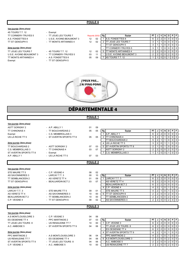#### POULE 6

#### 1ère journée (2ème phase)

4S TOURS T.T. 12 - Exempt TT CORMERY-TRUYES 5 - TT JOUE LES TOURS 7<br>  $\triangle$  S. FONDETTES 8 - U.S.E. AVOINE-BEAUMONT 3

#### 2ème journée (2ème phase)

TT JOUE LES TOURS 7 - 4S TOURS T.T. 12 12<br>U.S.E. AVOINE-BEAUMONT 3 - TT CORMERY-TRUYES 5 03 U.S.E. AVOINE-BEAUMONT 3 - TT CORMERY-TRUY<br>TT MONTS ARTANNES 4 - A.S. FONDETTES 8 TT MONTS ARTANNES 4 - A.S. FONDETTES 8 05 Exempt TT ST GENOUPH 5

| A.S. FONDETTES 8          | - U.S.E. AVOINE-BEAUMONT 3 | 12 |
|---------------------------|----------------------------|----|
| TT ST GENOUPH 5           | - TT MONTS ARTANNES 4      | 12 |
| 2ème journée (2ème phase) |                            |    |

- 
- 
- 

| TT CORMERY-TRUYES 5              | - TT JOUE LES TOURS 7      | Reporté 25/02 |    | Rg | Equipe                           | РT |  |  | PFI |                            |
|----------------------------------|----------------------------|---------------|----|----|----------------------------------|----|--|--|-----|----------------------------|
| A.S. FONDETTES 8                 | - U.S.E. AVOINE-BEAUMONT 3 | 12            | 02 |    | <b>IA.S. FONDETTES 8</b>         |    |  |  |     | 0101                       |
| TT ST GENOUPH 5                  | - TT MONTS ARTANNES 4      | 12            | 02 |    | <b>I</b> TT JOUE LES TOURS 7     |    |  |  |     | 0 I O I                    |
|                                  |                            |               |    |    | <b>ITT ST GENOUPH 5</b>          |    |  |  |     | $J$   0 $'$                |
| <u>2ème journée (2ème phase)</u> |                            |               |    |    | <b>ITT CORMERY-TRUYES 5</b>      |    |  |  |     |                            |
| TT JOUE LES TOURS 7              | - 4S TOURS T.T. 12         | 12            | 02 |    | <b>ITT MONTS ARTANNES 4</b>      |    |  |  |     | 0 I O I                    |
| U.S.E. AVOINE-BEAUMONT 3         | - TT CORMERY-TRUYES 5      | 03            | 11 |    | <b>IU.S.E. AVOINE-BEAUMONT 3</b> |    |  |  |     | $\overline{0}$             |
| TT MONTS ARTANNES 4              | - A.S. FONDETTES 8         | 05            | 09 |    | <b>I</b> 4S TOURS T.T. 12        |    |  |  |     | $\overline{\phantom{0}}$ 0 |

10 00 - US RENAUDINE TT 7 2 2 0 0 2 0 0



## 1ère journée (2ème phase) ASTT SORIGNY 2 - A.P. ABILLY 1 01 09 TT CHINONAIS 4 - TT BOUCHARDAIS 2 05 05 Rg Equipe PT J V N D P F Exempt - C.S. MEMBROLLAIS 3<br>
US LA RICHE TT 5 - ST AVERTIN SPORTS TT 8 05 05 2 TT CHINONAIS 4 5 2 1 1 0 0 0 0 US LA RICHE TT 5 - ST AVERTIN SPORTS TT 8 05 05 2 TT CHINONAIS 4 5 2 1 1 0 0 0 - TT BOUCHARDAIS 2 5 2 1 1 0 0 0  $\frac{2\text{ème} \text{ journey}}{3}$   $\left.\frac{2}{2}\right|$   $\frac{1}{1}$   $\left.\frac{1}{2}\right|$   $\frac{1}{0}$   $\left.\frac{1}{1}$   $\frac{1}{0}$   $\left.\frac{1}{0}\right|$   $\frac{1}{0}$   $\left.\frac{1}{0}\right|$ TT BOUCHARDAIS 2 - ASTT SORIGNY 2 07 03 5 ST AVERTIN SPORTS TT 8 2 1 0 1 0 0 0 0<br>C.S. MEMBROLLAIS 3 - TT CHINONAIS 4 03 07 - ASTT SORIGNY 2 2 2 0 0 2 0 0 C.S. MEMBROLLAIS 3 - TT CHINONAIS 4 03 07 - ASTT SORIGNY 2 2 2 0 0 2 0 0 2 0 0<br>ST AVERTIN SPORTS TT 8 - Fxempt 2 2 2 0 0 1 0 0 1 0 0 2 0 1 0 0 1 0 0 1 0 0 2 0 1 0 0 1 0 0 1 0 0 1 0 0 1 0 0 ST AVERTIN SPORTS TT 8 - Exempt 2 - Exempt 2 2 - EXEMBROLLAIS 3 A.P. ABILLY 1 - US LA RICHE TT 5 07 03 1ère journée (2ème phase) STE MAURE TT 5 - C.P. VEIGNE 4 08 02 Rg | Equipe Ford PT | J | V | N | D | P | F TT SEMBLANCEEN 2 - AS VERETZ TT 4 01 09 1 LARCAY T.T. 3 TT ST GENOUPH 6 - BEAUJARDIN BCT 2 03 07 - AS VERETZ TT 4 6 2 2 0 0 0 0 - BEAUJARDIN BCT 2 6 2 2 0 0 0 0  $\frac{2\text{ème} \text{ journey}}{4 \text{ C.P.} \text{ VECI}}$   $\frac{2\text{ cm} \text{ cm} \text{ cm}^{-3} \text{ cm}^{-3} \text{ cm}^{-3} \text{ cm}^{-3} \text{ cm}^{-3} \text{ cm}^{-3} \text{ cm}^{-3} \text{ cm}^{-3} \text{ cm}^{-3} \text{ cm}^{-3} \text{ cm}^{-3} \text{ cm}^{-3} \text{ cm}^{-3} \text{ cm}^{-3} \text{ cm}^{-3} \text{ cm}^{-3} \text{ cm}^{-3} \text{ cm}^{-3} \text{ cm}^{-3} \text{ cm}^{-3} \text{ cm}^{-3} \text{ cm}$ LARCAY T.T. 3 - STE MAURE TT 5 09 01 - STE MAURE TT 5 4 2 1 0 1 0 1 0 0 AS VERETZ TT 4 - AS SAVONNIERES 3 10 00 6 TT ST GENOUPH 6 2 2 0 0 2 0 0 2 0 0 2 0 0 2 0 0 2 0 0 2 0 0 2 0 0 2 0 0 2 0 0 2 0 0 2 0 0 2 0 0 2 0 0 2 0 0 2 0 0 2 0 0 2 0 0 2 0 0 2 0 0 2 0 0 2 0 0 2 0 0 2 0 0 2 0 0 2 0 0 2 0 0 BEAUJARDIN BCT 2 - TT SEMBLANCEEN 2 10 00 - TT SEMBLANCEEN 2 2<br>C.P. VEIGNE 4 - TT ST GENOUPH 6 08 02 - AS SAVONNIERES 3 - TT ST GENOUPH 6  $\overline{08}$  02 - AS SAVONNIERES 3 2 2 2 0 0 2 0 0 2 0 0 1ère journée (2ème phase) A.S MONTLOUIS/LOIRE 3 - C.P. VEIGNE 3 04 06 ES OESIENNE TT 4 - PPC MARTINOIS 2 07 03 Rg Equipe PT J V N D P F TT JOUE LES TOURS 8 - US RENAUDINE TT 7 10 00 1 C.P. VEIGNE 3 6 2 2 0 0 0 0 0 0 0 1 C.P. VEIGNE 3 A.C. AMBOISE 5 - ST AVERTIN SPORTS TT 9 04 06 - TT JOUE LES TOURS 8 6 2 2 0 0 0 0 - ES OESIENNE TT 4 6 2 2 0 0 0 0 2ème journée (2ème phase) and the set of the set of the set of the set of the set of the set of the set of the set of the set of the set of the set of the set of the set of the set of the set of the set of the set of the s PPC MARTINOIS 2 - A.S. MONTLOUIS/LOIRE 3 06 04 - PPC MARTINOIS 2 4 2 1 0 1 0 0<br>US RENAUDINE TT 7 - ES OESIENNE TT 4 04 06 6 A.S. MONTLOUIS/LOIRE 3 2 2 0 0 2 0 0 04 06 6 A.S MONTLOUIS/LOIRE 3 2 2 0 0 2 0 0<br>04 06 - A.C. AMBOISE 5 2 2 0 0 2 0 0 ST AVERTIN SPORTS TT 9 - TT JOUE LES TOURS 8 04 06 - A.C. AMBOISE 5 2 2 0 0 2 0 0 2 0 0<br>C.P. VEIGNE 3 - A.C. AMBOISE 5 10 00 - US RENAUDINE TT 7 2 2 0 0 2 0 0 DÉPARTEMENTALE 4 POULE 1 POULE<sub>2</sub> POULE 3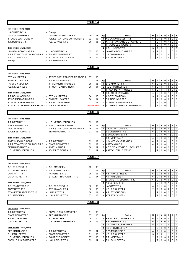|                                                    |                                              | <b>POULE 4</b>     |          |                                                           |                                                                                                                                                                      |
|----------------------------------------------------|----------------------------------------------|--------------------|----------|-----------------------------------------------------------|----------------------------------------------------------------------------------------------------------------------------------------------------------------------|
|                                                    |                                              |                    |          |                                                           |                                                                                                                                                                      |
| 1ère journée (2ème phase)                          |                                              |                    |          |                                                           |                                                                                                                                                                      |
| US CHAMBRAY 3                                      | - Exempt                                     |                    |          |                                                           |                                                                                                                                                                      |
| AS SAVONNIERES TT 2                                | - LANGEAIS-CINQ MARS 3                       | 09                 | 01       | Rg<br>Equipe                                              | PT<br>D<br>P<br>F<br>J<br>٧<br>N                                                                                                                                     |
| TT JOUE LES TOURS 9                                | - A.T.T.ST ANTOINE DU ROCHER 2               | 02                 | 08       | AS SAVONNIERES TT 2<br>$\mathbf{1}$                       | $\overline{2}$<br>$\overline{2}$<br>$\mathbf 0$<br>6<br>0<br>$\mathbf{0}$<br>$\mathbf 0$                                                                             |
| T.T. BENAISIEN 3                                   | - A.S. LUYNES T.T 3                          | 05                 | 05       | A.T.T.ST ANTOINE DU ROCHER 2<br>2                         | $\mathbf 0$<br>$\mathbf 0$<br>$\overline{4}$<br>2<br>$\mathbf{1}$<br>$\mathbf{1}$<br>$\mathbf 0$                                                                     |
|                                                    |                                              |                    |          | TT JOUE LES TOURS 9                                       | $\overline{2}$<br>$\pmb{0}$<br>$\pmb{0}$<br>$\overline{4}$<br>$\mathbf{1}$<br>$\mathbf{1}$<br>$\mathbf 0$                                                            |
| 2ème journée (2ème phase)                          |                                              |                    |          | A.S. LUYNES T.T 3<br>4                                    | 3<br>$\sqrt{2}$<br>$\pmb{0}$<br>$\mathbf{0}$<br>$\mathbf{1}$<br>$\mathbf 0$                                                                                          |
| LANGEAIS-CINQ MARS 3                               | - US CHAMBRAY 3                              | 05                 | 05       | LANGEAIS-CINQ MARS 3                                      | $\overline{2}$<br>$\pmb{0}$<br>3<br>$\mathbf{1}$<br>$\mathbf 0$<br>$\mathbf 0$<br>$\mathbf{1}$                                                                       |
| A.T.T.ST ANTOINE DU ROCHER 2                       | - AS SAVONNIERES TT 2                        | 02                 | 08       | US CHAMBRAY 3<br>6                                        | $\pmb{0}$<br>$\overline{2}$<br>$\mathbf 0$<br>$\mathbf 0$<br>$\mathbf{1}$<br>0<br>1                                                                                  |
| A.S. LUYNES T.T 3                                  | - TT JOUE LES TOURS 9                        | 04                 | 06       | T.T. BENAISIEN 3                                          | $\overline{2}$<br>$\pmb{0}$<br>$\mathbf 0$<br>$\Omega$<br>$\Omega$<br>1<br>1                                                                                         |
| Exempt                                             | - T.T. BENAISIEN 3                           |                    |          |                                                           |                                                                                                                                                                      |
|                                                    |                                              |                    |          |                                                           |                                                                                                                                                                      |
|                                                    |                                              | <b>POULE 5</b>     |          |                                                           |                                                                                                                                                                      |
|                                                    |                                              |                    |          |                                                           |                                                                                                                                                                      |
| 1ère journée (2ème phase)                          |                                              |                    |          |                                                           |                                                                                                                                                                      |
| STE MAURE TT 4                                     | - TT STE CATHERINE DE FIERBOIS 2             | 07                 | 03       |                                                           |                                                                                                                                                                      |
| ES RIDELLOIS TT 3                                  | - T.T. BOUCHARDAIS 3                         | 03                 | 07       | Rg<br>Equipe                                              | P<br>PT<br>۷<br>D<br>F<br>J<br>N                                                                                                                                     |
| <b>RS ST CYR/LOIRE 6</b>                           | - TT CORMERY-TRUYES 6                        | 05                 | 05       | <b>STE MAURE TT 4</b><br>$\mathbf{1}$                     | $\overline{2}$<br>$\overline{2}$<br>$\mathbf 0$<br>$\mathbf 0$<br>$\mathbf 0$<br>$\Omega$<br>6                                                                       |
| A.S.T.T. ESVRES 3                                  | - TT MONTS ARTANNES 5                        | 06                 | 04       | RS ST CYR/LOIRE 6<br>2                                    | 5<br>2<br>$\mathbf{1}$<br>$\mathbf 0$<br>0<br>$\mathbf{1}$<br>0                                                                                                      |
|                                                    |                                              |                    |          | <b>TT CORMERY-TRUYES 6</b>                                | 5<br>$\overline{2}$<br>$\mathbf 0$<br>$\mathbf{0}$<br>$\mathbf{1}$<br>$\mathbf 0$<br>$\mathbf{1}$                                                                    |
| 2ème journée (2ème phase)                          |                                              |                    |          | T.T. BOUCHARDAIS 3<br>4                                   | $\overline{4}$<br>$\overline{2}$<br>$\mathbf 0$<br>$\mathbf{1}$<br>$\mathbf 0$<br>$\mathbf 0$<br>$\mathbf{1}$                                                        |
| T.T. BOUCHARDAIS 3                                 | - STE MAURE TT 4                             | 04                 | 06       | A.S.T.T. ESVRES 3<br>5                                    | $\mathbf 0$<br>$\mathbf 0$<br>$\mathbf 0$<br>$\mathbf 0$<br>3<br>$\mathbf{1}$<br>$\mathbf{1}$                                                                        |
| TT CORMERY-TRUYES 6                                | - ES RIDELLOIS TT 3                          | 06                 | 04       | <b>ES RIDELLOIS TT 3</b><br>6                             | $\pmb{0}$<br>$\overline{2}$<br>2<br>$\overline{2}$<br>$\mathbf 0$<br>$\mathbf 0$<br>$\mathbf 0$                                                                      |
| TT MONTS ARTANNES 5                                | - RS ST CYR/LOIRE 6                          | 03                 | 07       | <b>TT MONTS ARTANNES 5</b>                                | $\overline{c}$<br>0<br>$\mathbf 0$<br>$\sqrt{2}$<br>$\overline{2}$<br>$\mathbf{0}$<br>$\mathbf 0$                                                                    |
| TT STE CATHERINE DE FIERBOIS 2 - A.S.T.T. ESVRES 3 |                                              | Reporté 25/03      |          | <b>TT STE CATHERINE DE FIERBOIS 2</b><br>8                | 0<br>$\mathbf 0$<br>$\Omega$<br>$\Omega$                                                                                                                             |
|                                                    |                                              |                    |          |                                                           |                                                                                                                                                                      |
|                                                    |                                              | POULE <sub>6</sub> |          |                                                           |                                                                                                                                                                      |
|                                                    |                                              |                    |          |                                                           |                                                                                                                                                                      |
| 1ère journée (2ème phase)                          |                                              |                    |          |                                                           |                                                                                                                                                                      |
| T.T. METTRAY 2                                     | - U.S. VERNOU/BRENNE 4                       | 03                 | 07       |                                                           |                                                                                                                                                                      |
| ES OESIENNE TT 3                                   | - ASTT CHEMILLE /DEME 1                      | 06                 | 04       | Rg<br>Equipe                                              | PT<br>٧<br>N<br>D<br>P<br>F<br>J                                                                                                                                     |
| ASTT du NAIS 2                                     | - A.T.T.ST ANTOINE DU ROCHER 3               | 06                 | 04       | JOUE LES TOURS 10<br>$\mathbf{1}$                         | $\overline{2}$<br>$\sqrt{2}$<br>6<br>$\mathbf 0$<br>$\mathbf 0$<br>$\mathbf 0$<br>$\mathbf 0$                                                                        |
| JOUE LES TOURS 10                                  | - BEAUJARDIN BCT 3                           | 07                 | 03       | <b>ES OESIENNE TT 3</b>                                   | $\sqrt{2}$<br>6<br>$\overline{2}$<br>$\mathbf 0$<br>$\mathbf 0$<br>$\mathbf 0$<br>$\mathbf 0$                                                                        |
|                                                    |                                              |                    |          | 3<br><b>BEAUJARDIN BCT 3</b>                              | $\overline{c}$<br>$\mathbf 0$<br>4<br>$\mathbf{1}$<br>$\mathbf{1}$<br>$\mathbf{0}$<br>$\mathbf 0$                                                                    |
| 2ème journée (2ème phase)                          |                                              |                    |          | T.T. METTRAY 2                                            | 2<br>$\mathbf 0$<br>$\mathbf 0$<br>$\overline{4}$<br>$\mathbf{1}$<br>$\mathbf{1}$<br>$\mathbf 0$                                                                     |
| <b>ASTT CHEMILLE /DEME 1</b>                       | - T.T. METTRAY 2                             | 03                 | 07       | U.S. VERNOU/BRENNE 4                                      | $\overline{2}$<br>$\mathbf 0$<br>$\mathbf{0}$<br>$\mathbf 0$<br>4<br>$\mathbf{1}$<br>$\mathbf{1}$                                                                    |
| A.T.T.ST ANTOINE DU ROCHER 3                       | - ES OESIENNE TT 3                           | 03                 | 07       | <b>ASTT du NAIS 2</b>                                     | $\overline{c}$<br>$\mathbf 0$<br>4<br>1<br>$\mathbf{1}$<br>$\mathbf{0}$<br>$\mathbf 0$                                                                               |
| <b>BEAUJARDIN BCT 3</b>                            | - ASTT du NAIS 2                             | 08                 | 02       | A.T.T.ST ANTOINE DU ROCHER 3<br>7                         | $\overline{2}$<br>$\pmb{0}$<br>$\mathbf 0$<br>$\sqrt{2}$<br>$\overline{2}$<br>$\mathbf 0$<br>0                                                                       |
| U.S. VERNOU/BRENNE 4                               | - JOUE LES TOURS 10                          | 01                 | 09       | <b>ASTT CHEMILLE /DEME 1</b>                              | $\mathbf 0$<br>$\mathbf 0$<br>2<br>2<br>$\overline{2}$<br>$\mathbf 0$<br>$\mathbf 0$                                                                                 |
|                                                    |                                              | <b>POULE 7</b>     |          |                                                           |                                                                                                                                                                      |
|                                                    |                                              |                    |          |                                                           |                                                                                                                                                                      |
|                                                    |                                              |                    |          |                                                           |                                                                                                                                                                      |
| 1ère journée (2ème phase)<br>A.P. ST SENOCH 3      |                                              |                    |          |                                                           |                                                                                                                                                                      |
|                                                    | - A.C. AMBOISE 4                             | 02                 | 08       |                                                           |                                                                                                                                                                      |
| ATT AZAY/CHER 4                                    | - A.S. FONDETTES 10                          | 02                 | 08       | Rg<br>Equipe                                              | PT<br>J<br>v<br>N<br>D<br>P<br>F                                                                                                                                     |
| LARCAY T.T. 4                                      | - AS VERETZ TT 3                             | 06                 | 04       | <b>I</b> A.S. FONDETTES 10<br>$\mathbf{1}$                | $\overline{c}$<br>$\sqrt{2}$<br>$\mathbf 0$<br>$\mathbf 0$<br>$\mathbf 0$<br>$\mathbf 0$<br>6                                                                        |
| US LA RICHE TT 4                                   | - ST AVERTIN SPORTS TT 10                    | 03                 | 07       | A.C. AMBOISE 4                                            | $\overline{2}$<br>$\sqrt{2}$<br>6<br>$\pmb{0}$<br>0<br>0<br>$\mathbf 0$                                                                                              |
|                                                    |                                              |                    |          | ST AVERTIN SPORTS TT 10                                   | $\sqrt{2}$<br>$\overline{2}$<br>$\mathbf 0$<br>$\mathbf 0$<br>$\mathbf 0$<br>6<br>0                                                                                  |
| 2ème journée (2ème phase)                          |                                              |                    |          | AS VERETZ TT 3<br>4                                       | $\overline{2}$<br>$\mathbf{1}$<br>$\mathbf 0$<br>$\mathbf{1}$<br>$\mathbf 0$<br>$\mathbf 0$<br>4                                                                     |
| A.S. FONDETTES 10                                  | - A.P. ST SENOCH 3                           | 10                 | 00       | LARCAY T.T. 4                                             | $\overline{2}$<br>4<br>$\mathbf{1}$<br>$\mathbf 0$<br>$\mathbf{1}$<br>$\mathbf 0$<br>0                                                                               |
| AS VERETZ TT 3                                     | - ATT AZAY/CHER 4                            | 10                 | 00       | US LA RICHE TT 4<br>6                                     | $\pmb{0}$<br>2<br>$\overline{2}$<br>$\mathbf 0$<br>$\overline{2}$<br>0<br>0                                                                                          |
| ST AVERTIN SPORTS TT 10<br>A.C. AMBOISE 4          | - LARCAY T.T. 4                              | 06<br>07           | 04<br>03 | A.P. ST SENOCH 3<br><b>ATT AZAY/CHER 4</b>                | $\pmb{0}$<br>$\overline{2}$<br>$\overline{2}$<br>$\overline{2}$<br>0<br>0<br>$\mathbf 0$<br>0<br>$\mathbf 0$<br>$\overline{2}$<br>$\mathbf 0$<br>2<br>$\overline{0}$ |
|                                                    | - US LA RICHE TT 4                           |                    |          |                                                           | $\overline{2}$                                                                                                                                                       |
|                                                    |                                              | <b>POULE 8</b>     |          |                                                           |                                                                                                                                                                      |
|                                                    |                                              |                    |          |                                                           |                                                                                                                                                                      |
| 1ère journée (2ème phase)                          |                                              |                    |          |                                                           |                                                                                                                                                                      |
| T.T. METTRAY 3                                     | - ES VILLE AUX DAMES TT 6                    | 01                 | 09       |                                                           |                                                                                                                                                                      |
| ES OESIENNE TT 5                                   | - PPC MARTINOIS 3                            | 07                 | 03       | Rg<br>Equipe                                              | РT<br>N<br>D<br>P<br>٧                                                                                                                                               |
|                                                    |                                              |                    |          | ES VILLE AUX DAMES TT 6                                   | F.<br>J<br>$\mathbf 0$<br>$\pmb{0}$<br>6<br>$\mathbf 0$                                                                                                              |
| RS ST CYR/LOIRE 7<br>US LA RICHE TT 6              | - P.L. PAUL BERT 3<br>- U.S. VERNOU/BRENNE 3 | 10<br>05           | 00<br>05 | 1<br><b>ES OESIENNE TT 5</b>                              | $\overline{c}$<br>$\overline{c}$<br>0<br>$\overline{2}$<br>$\overline{2}$<br>$\mathbf 0$<br>$\mathbf 0$<br>$\mathbf 0$<br>6<br>$\mathbf 0$                           |
|                                                    |                                              |                    |          | U.S. VERNOU/BRENNE 3<br>3                                 | $\pmb{0}$<br>5<br>$\overline{2}$<br>$\mathbf{1}$<br>0<br>0<br>1                                                                                                      |
| 2ème journée (2ème phase)                          |                                              |                    |          | RS ST CYR/LOIRE 7<br>$\overline{4}$                       | $\overline{2}$<br>$\mathbf 0$<br>$\mathbf{1}$<br>4<br>$\mathbf{1}$<br>$\mathbf 0$                                                                                    |
|                                                    |                                              |                    |          |                                                           | 0                                                                                                                                                                    |
| <b>PPC MARTINOIS 3</b>                             | - T.T. METTRAY 3                             | 09                 | 01       | <b>PPC MARTINOIS 3</b>                                    | 2<br>0<br>$\mathbf 0$<br>4<br>$\mathbf{1}$<br>$\mathbf{1}$<br>0<br>0<br>$\mathbf{1}$<br>0<br>1                                                                       |
| P.L. PAUL BERT 3<br>U.S. VERNOU/BRENNE 3           | - ES OESIENNE TT 5<br>- RS ST CYR/LOIRE 7    | 01<br>07           | 09<br>03 | US LA RICHE TT 6<br>6<br>T.T. METTRAY 3<br>$\overline{7}$ | $\overline{2}$<br>3<br>0<br>$\overline{2}$<br>$\overline{2}$<br>$\mathbf 0$<br>$\mathbf 0$<br>$\overline{2}$<br>$\mathbf 0$<br>$\mathbf 0$                           |
| ES VILLE AUX DAMES TT 6                            | - US LA RICHE TT 6                           | 09                 | 01       | P.L. PAUL BERT 3                                          | $\overline{2}$<br>2<br>0<br>$\overline{2}$<br>0<br>0<br>$\mathbf 0$                                                                                                  |
|                                                    |                                              |                    |          |                                                           |                                                                                                                                                                      |

٦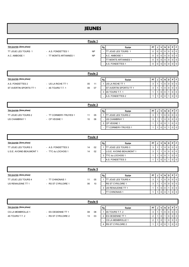# JEUNES

|                           |                       | Poule 1   |    |                              |           |   |                                    |                |       |           |
|---------------------------|-----------------------|-----------|----|------------------------------|-----------|---|------------------------------------|----------------|-------|-----------|
| 1ère journée (2ème phase) |                       |           | Rg | <b>Equipe</b>                | <b>PT</b> | J | $\mathsf{I} \mathsf{V} \mathsf{I}$ | <b>N</b>       | DI    | PFI       |
| TT JOUE LES TOURS 1       | - A.S. FONDETTES 1    | <b>NP</b> |    | ITT JOUE LES TOURS 1         |           |   | 00                                 | 0 <sup>1</sup> | - O I | 0 1 0 1   |
| A.C. AMBOISE 1            | - TT MONTS ARTANNES 1 | <b>NP</b> |    | IA.C. AMBOISE 1              |           |   | 00000                              |                |       | $0 1 0 1$ |
|                           |                       |           |    | <b>I</b> TT MONTS ARTANNES 1 |           |   | 0 1 0 1                            | $\mathbf 0$    |       | 0 1 0 1   |
|                           |                       |           |    | - IA.S. FONDETTES 1          |           |   | $0$   $0$                          |                |       | 0 1 0 1   |

|                           |                    | Poule 2 |    |    |                                |           |         |                |                |                |
|---------------------------|--------------------|---------|----|----|--------------------------------|-----------|---------|----------------|----------------|----------------|
| 1ère journée (2ème phase) |                    |         |    | Rg | <b>Equipe</b>                  | <b>PT</b> |         | V   N          |                | IDIPIFI        |
| A.S. FONDETTES 2          | - US LA RICHE TT 1 | 05      | 11 |    | <b>IUS LA RICHE TT 1</b>       | 3         |         | $\overline{0}$ | 0 1 0          |                |
| ST AVERTIN SPORTS TT 1    | - 4S TOURS T.T. 1  | 09      | 07 |    | <b>IST AVERTIN SPORTS TT 1</b> | ت         |         |                | 0 <sub>0</sub> |                |
|                           |                    |         |    |    | 3 14S TOURS T.T. 1             |           | $0$   0 |                | 0 1 0          |                |
|                           |                    |         |    |    | IA.S. FONDETTES 2              |           | 0 10    |                |                | $\overline{0}$ |

|                           |                       | Poule 3 |    |    |                             |           |    |       |                |     |                |       |
|---------------------------|-----------------------|---------|----|----|-----------------------------|-----------|----|-------|----------------|-----|----------------|-------|
| 1ère journée (2ème phase) |                       |         |    | Rg | <b>Equipe</b>               | <b>PT</b> | ึง |       | VIN            | D I | PIF            |       |
| TT JOUE LES TOURS 2       | - TT CORMERY-TRUYES 1 | 11      | 05 |    | <b>ITT JOUE LES TOURS 2</b> | 3         |    |       | $\overline{0}$ | 0   | 0 1 0          |       |
| <b>US CHAMBRAY 1</b>      | - CP VEIGNE 1         | 10      | 06 |    | <b>IUS CHAMBRAY 1</b>       | 3         |    |       | $\overline{0}$ |     | 0 <sub>0</sub> |       |
|                           |                       |         |    |    | ICP VEIGNE 1                |           |    |       | $\overline{0}$ |     | 0 1 0          |       |
|                           |                       |         |    |    | <b>ITT CORMERY-TRUYES 1</b> |           |    | 0 1 0 |                |     |                | 0 1 0 |

|                           |                    |    | Poule 4 |    |                                  |    |   |                |                 |   |                |                 |
|---------------------------|--------------------|----|---------|----|----------------------------------|----|---|----------------|-----------------|---|----------------|-----------------|
| 1ère journée (2ème phase) |                    |    |         | Rg | Equipe                           | PT | J |                | VINI            | D | PIF            |                 |
| TT JOUE LES TOURS 3       | - A.S. FONDETTES 3 | 14 | 02      |    | <b>ITT JOUE LES TOURS 3</b>      | 3  |   |                | $\overline{1}0$ |   | $0$   $0$      |                 |
| U.S.E. AVOINE-BEAUMONT 1  | - TTC du LOCHOIS 1 | 14 | 02      |    | <b>IU.S.E. AVOINE-BEAUMONT 1</b> | ۍ  |   |                | $\overline{0}$  |   | 0   0          |                 |
|                           |                    |    |         |    | 3 ITTC du LOCHOIS 1              |    |   |                | 0 1 0           |   | 0 <sub>0</sub> |                 |
|                           |                    |    |         |    | IA.S. FONDETTES 3                |    |   | 0 <sup>1</sup> |                 |   |                | $\overline{1}0$ |

|                           |                     |    | Poule 5 |    |                             |           |   |                |       |     |       |                |
|---------------------------|---------------------|----|---------|----|-----------------------------|-----------|---|----------------|-------|-----|-------|----------------|
| 1ère journée (2ème phase) |                     |    |         | Rg | <b>Equipe</b>               | <b>PT</b> | J |                | V   N | D I | PIF.  |                |
| TT JOUE LES TOURS 4       | - TT CHINONAIS 1    | 11 | 05      |    | <b>ITT JOUE LES TOURS 4</b> | د         |   |                |       |     | 0 1 0 |                |
| US RENAUDINE TT 1         | - RS ST CYR/LOIRE 1 | 06 | 10      |    | <b>IRS ST CYR/LOIRE 1</b>   | 3         |   |                |       |     |       | $01$ 0         |
|                           |                     |    |         |    | 3 IUS RENAUDINE TT 1        |           |   | 0 <sub>0</sub> |       |     | 0 1 0 |                |
|                           |                     |    |         |    | <b>CHINONAIS1</b><br>ITT    |           |   | 0 I O          |       |     |       | $\overline{0}$ |

|                           |                     |    | Poule 6 |    |                          |           |                |   |   |     |                 |
|---------------------------|---------------------|----|---------|----|--------------------------|-----------|----------------|---|---|-----|-----------------|
| 1ère journée (2ème phase) |                     |    |         | Rg | Equipe                   | <b>PT</b> | νI             | N | D | PIF |                 |
| <b>CS LA MEMBROLLE 1</b>  | - ES OESIENNE TT 1  | 08 | 08      |    | <b>I</b> 4S TOURS T.T. 2 |           |                |   |   |     | 0   0           |
| 4S TOURS T.T. 2           | - RS ST CYR/LOIRE 2 | 13 | 03      |    | 2 ES OESIENNE TT 1       |           |                |   |   |     | 0 I I           |
|                           |                     |    |         |    | - ICS LA MEMBROLLE 1     |           |                |   |   |     | 0 1 0           |
|                           |                     |    |         |    | 4 RS ST CYR/LOIRE 2      |           | 0 <sub>1</sub> |   |   |     | $\overline{10}$ |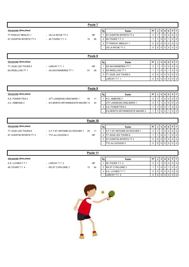|                           |                       | Poule 7   |    |                               |             |                |                |                |                |           |
|---------------------------|-----------------------|-----------|----|-------------------------------|-------------|----------------|----------------|----------------|----------------|-----------|
| 1ère journée (2ème phase) |                       |           | Rg | Equipe                        | PT          |                | V              | N              | D              | PF        |
| TT PARCAY MESLAY 1        | - US LA RICHE TT 2    | <b>NP</b> |    | <b>ST AVERTIN SPORTS TT 2</b> | 3           |                | $\overline{1}$ | $\mathbf 0$    | 0              | $0$   $0$ |
| ST AVERTIN SPORTS TT 2    | $-4S$ TOURS T.T. 3    | 10<br>06  |    | 2 14S TOURS T.T. 3            |             |                | $\overline{0}$ | $\mathbf 0$    |                | $0$   $0$ |
|                           |                       |           |    | 3 ITT PARCAY MESLAY 1         | $\mathbf 0$ | $\Omega$       | $\overline{0}$ | $\mathbf 0$    | $\Omega$       | $0$   $0$ |
|                           |                       |           |    | - US LA RICHE TT 2            | $\mathbf 0$ |                | $0$   $0$      | 0 <sup>1</sup> | $\overline{0}$ | 0 0       |
|                           |                       |           |    |                               |             |                |                |                |                |           |
|                           |                       | Poule 8   |    |                               |             |                |                |                |                |           |
| 1ère journée (2ème phase) |                       |           | Rg | Equipe                        | <b>PT</b>   |                | V              | N              | D              | PF        |
| TT JOUE LES TOURS 5       | - LARCAY T.T. 1       | <b>NP</b> |    | AS SAVONNIERES TT 1           | 3           |                | 1              | $\overline{0}$ | $\mathbf 0$    | 0 0       |
| ES RIDELLOIS TT 1         | - AS SAVONNIERES TT 1 | 07<br>09  |    | 2 <b>ES RIDELLOIS TT 1</b>    |             |                | $\overline{0}$ | $\mathbf 0$    |                | $0$   $0$ |
|                           |                       |           |    |                               |             |                |                |                |                |           |
|                           |                       |           |    | 3 ITT JOUE LES TOURS 5        | $\mathbf 0$ | $\overline{0}$ | $\overline{0}$ | $\mathbf 0$    | $\Omega$       | 0 1 0 1   |

|                           |                                   |    | Poule 9 |    |                                  |           |  |          |  |                |
|---------------------------|-----------------------------------|----|---------|----|----------------------------------|-----------|--|----------|--|----------------|
| 1ère journée (2ème phase) |                                   |    |         | Rg | Equipe                           | <b>PT</b> |  | <b>N</b> |  | PFI            |
| A.S. FONDETTES 4          | - ATT LANGEAIS-CINQ MARS 1        | 05 | 11      |    | IA.C. AMBOISE 2                  |           |  |          |  | 0 1 0 1        |
| A.C. AMBOISE 2            | - Ent MONTS ARTANNES/STE MAURE 13 |    | 03      |    | <b>LATT LANGEAIS-CINQ MARS 1</b> |           |  |          |  | 0 1 0 1        |
|                           |                                   |    |         |    | 3 A.S. FONDETTES 4               |           |  |          |  | $\overline{0}$ |

- Ent MONTS ARTANNES/STE MAURE 2 1 1 0 0 1 0 0

|                           |                                |    | Poule 10  |    |                                      |           |             |      |            |   |                 |
|---------------------------|--------------------------------|----|-----------|----|--------------------------------------|-----------|-------------|------|------------|---|-----------------|
| 1ère journée (2ème phase) |                                |    |           | Rg | <b>Equipe</b>                        | <b>PT</b> |             | VINI | D I        | D |                 |
| TT JOUE LES TOURS 6       | - A.T.T.ST ANTOINE DU ROCHER 1 | 05 | 11        |    | <b>IA.T.T.ST ANTOINE DU ROCHER 1</b> | 3         |             |      | $\Omega$ 1 |   | 1010'           |
| ST AVERTIN SPORTS TT 3    | - TTC du LOCHOIS 2             |    | <b>NP</b> |    | JOUE LES TOURS 6                     |           |             |      |            |   |                 |
|                           |                                |    |           |    | 3 IST AVERTIN SPORTS TT 3            | 0         | $\mathbf 0$ |      | $\Omega$   |   | $\overline{10}$ |
|                           |                                |    |           |    | ITTC du LOCHOIS 2                    |           | 0           |      |            |   | . ا 0 ا ،       |

|                           |                     | Poule 11  |    |                          |    |                |   |     |       |
|---------------------------|---------------------|-----------|----|--------------------------|----|----------------|---|-----|-------|
| 1ère journée (2ème phase) |                     |           | Rg | Equipe                   | PT | $\mathbf{v}$   | D | PIF |       |
| A.S. LUYNES T.T 1         | - LARCAY T.T. 2     | <b>NP</b> |    | <b>I</b> 4S TOURS T.T. 4 | J  |                |   |     | ∣ 0   |
| 4S TOURS T.T. 4           | - RS ST CYR/LOIRE 3 | 04<br>12  |    | 2 IRS ST CYR/LOIRE 3     |    | 0 <sup>1</sup> |   |     | ∣ 0   |
|                           |                     |           |    | 3 IA.S. LUYNES T.T 1     |    |                |   |     | 0   0 |
|                           |                     |           |    | - $LARCAY$ T.T. 2        |    | U.             |   |     |       |